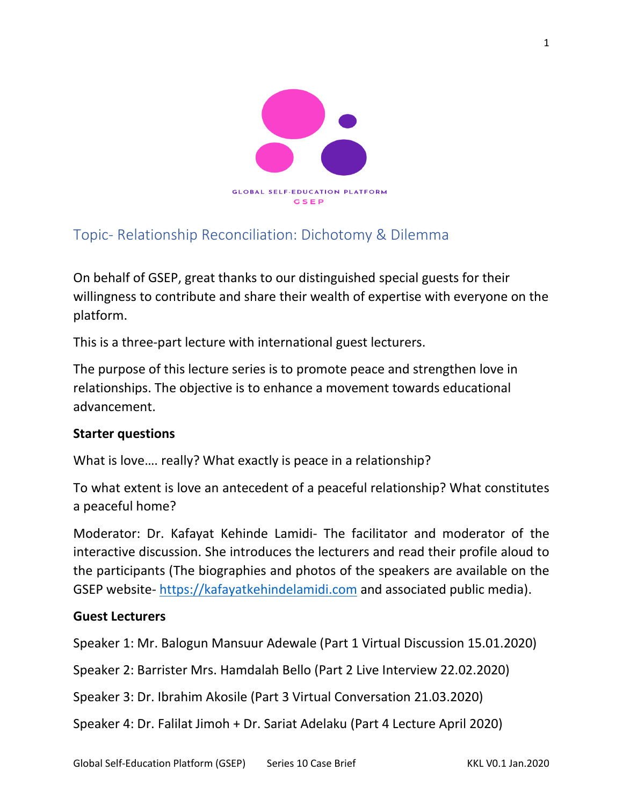

# Topic- Relationship Reconciliation: Dichotomy & Dilemma

On behalf of GSEP, great thanks to our distinguished special guests for their willingness to contribute and share their wealth of expertise with everyone on the platform.

This is a three-part lecture with international guest lecturers.

The purpose of this lecture series is to promote peace and strengthen love in relationships. The objective is to enhance a movement towards educational advancement.

## **Starter questions**

What is love…. really? What exactly is peace in a relationship?

To what extent is love an antecedent of a peaceful relationship? What constitutes a peaceful home?

Moderator: Dr. Kafayat Kehinde Lamidi- The facilitator and moderator of the interactive discussion. She introduces the lecturers and read their profile aloud to the participants (The biographies and photos of the speakers are available on the GSEP website- [https://kafayatkehindelamidi.com](https://kafayatkehindelamidi.com/) and associated public media).

#### **Guest Lecturers**

Speaker 1: Mr. Balogun Mansuur Adewale (Part 1 Virtual Discussion 15.01.2020)

Speaker 2: Barrister Mrs. Hamdalah Bello (Part 2 Live Interview 22.02.2020)

Speaker 3: Dr. Ibrahim Akosile (Part 3 Virtual Conversation 21.03.2020)

Speaker 4: Dr. Falilat Jimoh + Dr. Sariat Adelaku (Part 4 Lecture April 2020)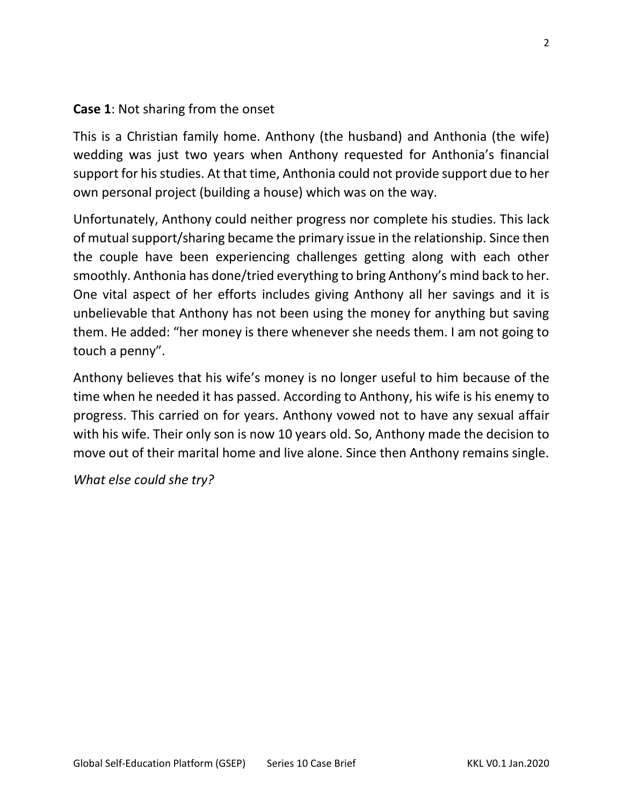### **Case 1**: Not sharing from the onset

This is a Christian family home. Anthony (the husband) and Anthonia (the wife) wedding was just two years when Anthony requested for Anthonia's financial support for his studies. At that time, Anthonia could not provide support due to her own personal project (building a house) which was on the way.

Unfortunately, Anthony could neither progress nor complete his studies. This lack of mutual support/sharing became the primary issue in the relationship. Since then the couple have been experiencing challenges getting along with each other smoothly. Anthonia has done/tried everything to bring Anthony's mind back to her. One vital aspect of her efforts includes giving Anthony all her savings and it is unbelievable that Anthony has not been using the money for anything but saving them. He added: "her money is there whenever she needs them. I am not going to touch a penny".

Anthony believes that his wife's money is no longer useful to him because of the time when he needed it has passed. According to Anthony, his wife is his enemy to progress. This carried on for years. Anthony vowed not to have any sexual affair with his wife. Their only son is now 10 years old. So, Anthony made the decision to move out of their marital home and live alone. Since then Anthony remains single.

*What else could she try?*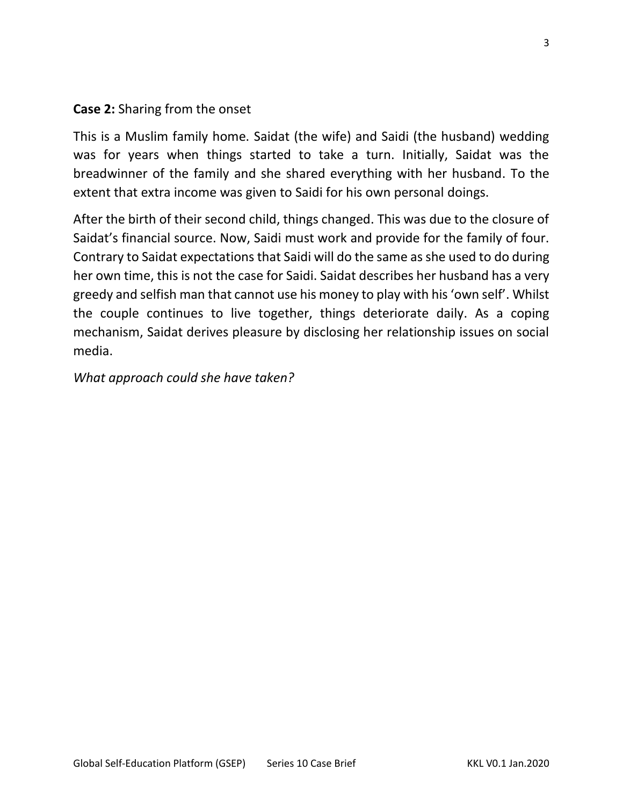### **Case 2:** Sharing from the onset

This is a Muslim family home. Saidat (the wife) and Saidi (the husband) wedding was for years when things started to take a turn. Initially, Saidat was the breadwinner of the family and she shared everything with her husband. To the extent that extra income was given to Saidi for his own personal doings.

After the birth of their second child, things changed. This was due to the closure of Saidat's financial source. Now, Saidi must work and provide for the family of four. Contrary to Saidat expectations that Saidi will do the same as she used to do during her own time, this is not the case for Saidi. Saidat describes her husband has a very greedy and selfish man that cannot use his money to play with his 'own self'. Whilst the couple continues to live together, things deteriorate daily. As a coping mechanism, Saidat derives pleasure by disclosing her relationship issues on social media.

*What approach could she have taken?*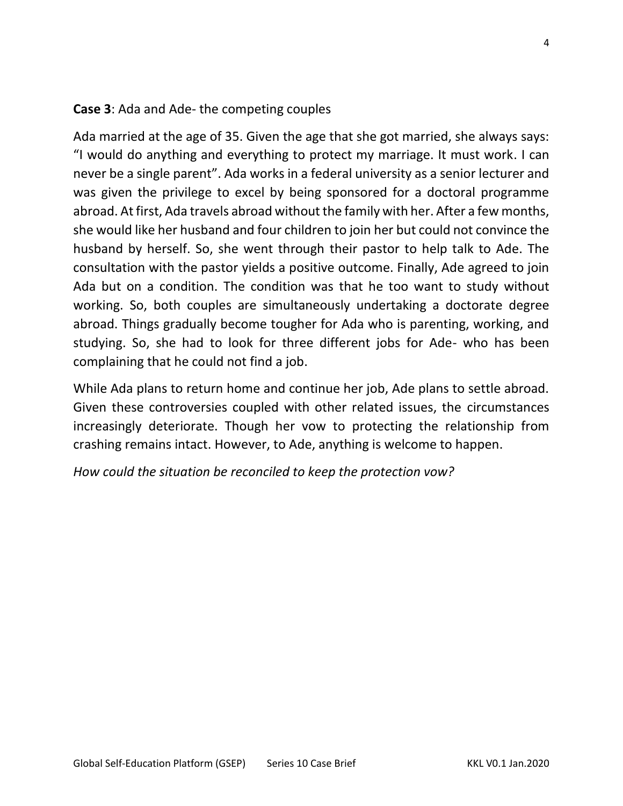#### **Case 3**: Ada and Ade- the competing couples

Ada married at the age of 35. Given the age that she got married, she always says: "I would do anything and everything to protect my marriage. It must work. I can never be a single parent". Ada works in a federal university as a senior lecturer and was given the privilege to excel by being sponsored for a doctoral programme abroad. At first, Ada travels abroad without the family with her. After a few months, she would like her husband and four children to join her but could not convince the husband by herself. So, she went through their pastor to help talk to Ade. The consultation with the pastor yields a positive outcome. Finally, Ade agreed to join Ada but on a condition. The condition was that he too want to study without working. So, both couples are simultaneously undertaking a doctorate degree abroad. Things gradually become tougher for Ada who is parenting, working, and studying. So, she had to look for three different jobs for Ade- who has been complaining that he could not find a job.

While Ada plans to return home and continue her job, Ade plans to settle abroad. Given these controversies coupled with other related issues, the circumstances increasingly deteriorate. Though her vow to protecting the relationship from crashing remains intact. However, to Ade, anything is welcome to happen.

*How could the situation be reconciled to keep the protection vow?*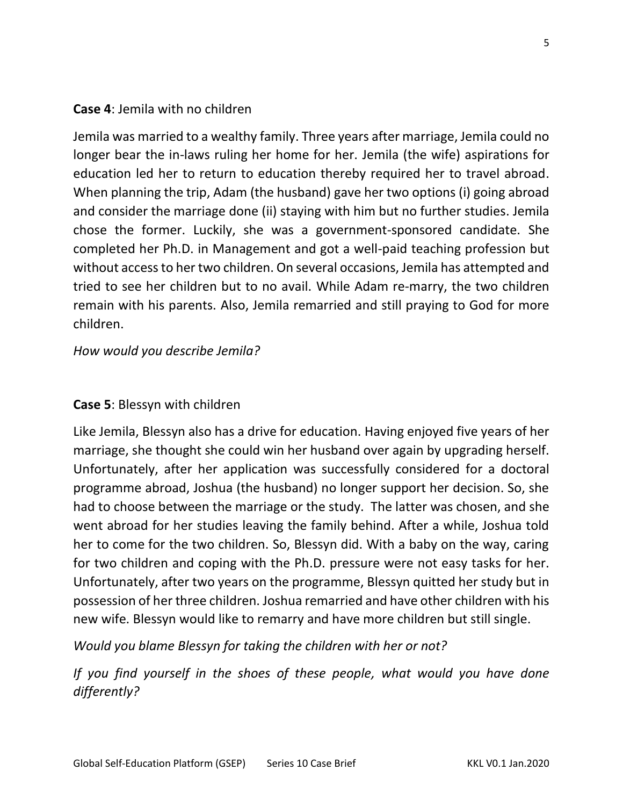#### **Case 4**: Jemila with no children

Jemila was married to a wealthy family. Three years after marriage, Jemila could no longer bear the in-laws ruling her home for her. Jemila (the wife) aspirations for education led her to return to education thereby required her to travel abroad. When planning the trip, Adam (the husband) gave her two options (i) going abroad and consider the marriage done (ii) staying with him but no further studies. Jemila chose the former. Luckily, she was a government-sponsored candidate. She completed her Ph.D. in Management and got a well-paid teaching profession but without access to her two children. On several occasions, Jemila has attempted and tried to see her children but to no avail. While Adam re-marry, the two children remain with his parents. Also, Jemila remarried and still praying to God for more children.

*How would you describe Jemila?*

#### **Case 5**: Blessyn with children

Like Jemila, Blessyn also has a drive for education. Having enjoyed five years of her marriage, she thought she could win her husband over again by upgrading herself. Unfortunately, after her application was successfully considered for a doctoral programme abroad, Joshua (the husband) no longer support her decision. So, she had to choose between the marriage or the study. The latter was chosen, and she went abroad for her studies leaving the family behind. After a while, Joshua told her to come for the two children. So, Blessyn did. With a baby on the way, caring for two children and coping with the Ph.D. pressure were not easy tasks for her. Unfortunately, after two years on the programme, Blessyn quitted her study but in possession of her three children. Joshua remarried and have other children with his new wife. Blessyn would like to remarry and have more children but still single.

*Would you blame Blessyn for taking the children with her or not?*

*If you find yourself in the shoes of these people, what would you have done differently?*